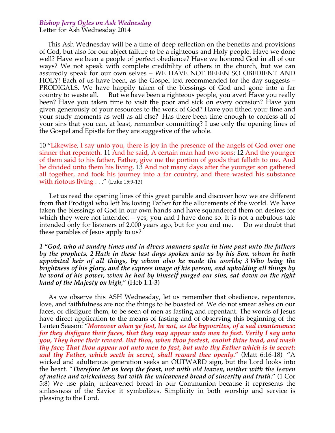## *Bishop Jerry Ogles on Ash Wednesday*

Letter for Ash Wednesday 2014

 This Ash Wednesday will be a time of deep reflection on the benefits and provisions of God, but also for our abject failure to be a righteous and Holy people. Have we done well? Have we been a people of perfect obedience? Have we honored God in all of our ways? We not speak with complete credibility of others in the church, but we can assuredly speak for our own selves – WE HAVE NOT BEEEN SO OBEDIENT AND HOLY! Each of us have been, as the Gospel text recommended for the day suggests – PRODIGALS. We have happily taken of the blessings of God and gone into a far country to waste all. But we have been a righteous people, you aver! Have you really been? Have you taken time to visit the poor and sick on every occasion? Have you given generously of your resources to the work of God? Have you tithed your time and your study moments as well as all else? Has there been time enough to confess all of your sins that you can, at least, remember committing? I use only the opening lines of the Gospel and Epistle for they are suggestive of the whole.

10 "Likewise, I say unto you, there is joy in the presence of the angels of God over one sinner that repenteth. 11 And he said, A certain man had two sons: 12 And the younger of them said to his father, Father, give me the portion of goods that falleth to me. And he divided unto them his living. 13 And not many days after the younger son gathered all together, and took his journey into a far country, and there wasted his substance with riotous living . . ." (Luke 15:9-13)

 Let us read the opening lines of this great parable and discover how we are different from that Prodigal who left his loving Father for the allurements of the world. We have taken the blessings of God in our own hands and have squandered them on desires for which they were not intended – yes, you and I have done so. It is not a nebulous tale intended only for listeners of 2,000 years ago, but for you and me. Do we doubt that these parables of Jesus apply to us?

*1 "God, who at sundry times and in divers manners spake in time past unto the fathers by the prophets, 2 Hath in these last days spoken unto us by his Son, whom he hath appointed heir of all things, by whom also he made the worlds; 3 Who being the brightness of his glory, and the express image of his person, and upholding all things by he word of his power, when he had by himself purged our sins, sat down on the right hand of the Majesty on high*;" (Heb 1:1-3)

 As we observe this ASH Wednesday, let us remember that obedience, repentance, love, and faithfulness are not the things to be boasted of. We do not smear ashes on our faces, or disfigure them, to be seen of men as fasting and repentant. The words of Jesus have direct application to the means of fasting and of observing this beginning of the Lenten Season: "*Moreover when ye fast, be not, as the hypocrites, of a sad countenance: for they disfigure their faces, that they may appear unto men to fast. Verily I say unto you, They have their reward. But thou, when thou fastest, anoint thine head, and wash thy face; That thou appear not unto men to fast, but unto thy Father which is in secret: and thy Father, which seeth in secret, shall reward thee openly.*" (Matt 6:16-18) "A wicked and adulterous generation seeks an OUTWARD sign, but the Lord looks into the heart. "*Therefore let us keep the feast, not with old leaven, neither with the leaven of malice and wickedness; but with the unleavened bread of sincerity and truth*." (1 Cor 5:8) We use plain, unleavened bread in our Communion because it represents the sinlessness of the Savior it symbolizes. Simplicity in both worship and service is pleasing to the Lord.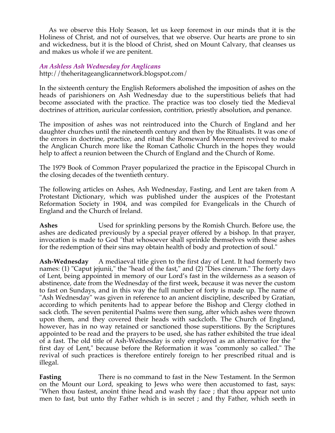As we observe this Holy Season, let us keep foremost in our minds that it is the Holiness of Christ, and not of ourselves, that we observe. Our hearts are prone to sin and wickedness, but it is the blood of Christ, shed on Mount Calvary, that cleanses us and makes us whole if we are penitent.

## *An Ashless Ash Wednesday for Anglicans*

http://theheritageanglicannetwork.blogspot.com/

In the sixteenth century the English Reformers abolished the imposition of ashes on the heads of parishioners on Ash Wednesday due to the superstitious beliefs that had become associated with the practice. The practice was too closely tied the Medieval doctrines of attrition, auricular confession, contrition, priestly absolution, and penance.

The imposition of ashes was not reintroduced into the Church of England and her daughter churches until the nineteenth century and then by the Ritualists. It was one of the errors in doctrine, practice, and ritual the Romeward Movement revived to make the Anglican Church more like the Roman Catholic Church in the hopes they would help to affect a reunion between the Church of England and the Church of Rome.

The 1979 Book of Common Prayer popularized the practice in the Episcopal Church in the closing decades of the twentieth century.

The following articles on Ashes, Ash Wednesday, Fasting, and Lent are taken from A Protestant Dictionary, which was published under the auspices of the Protestant Reformation Society in 1904, and was compiled for Evangelicals in the Church of England and the Church of Ireland.

**Ashes** Used for sprinkling persons by the Romish Church. Before use, the ashes are dedicated previously by a special prayer offered by a bishop. In that prayer, invocation is made to God "that whosoever shall sprinkle themselves with these ashes for the redemption of their sins may obtain health of body and protection of soul."

**Ash-Wednesday** A mediaeval title given to the first day of Lent. It had formerly two names: (1) "Caput jejunii," the "head of the fast," and (2) "Dies cinerum." The forty days of Lent, being appointed in memory of our Lord's fast in the wilderness as a season of abstinence, date from the Wednesday of the first week, because it was never the custom to fast on Sundays, and in this way the full number of forty is made up. The name of "Ash Wednesday" was given in reference to an ancient discipline, described by Gratian, according to which penitents had to appear before the Bishop and Clergy clothed in sack cloth. The seven penitential Psalms were then sung, after which ashes were thrown upon them, and they covered their heads with sackcloth. The Church of England, however, has in no way retained or sanctioned those superstitions. By the Scriptures appointed to be read and the prayers to be used, she has rather exhibited the true ideal of a fast. The old title of Ash-Wednesday is only employed as an alternative for the " first day of Lent," because before the Reformation it was "commonly so called." The revival of such practices is therefore entirely foreign to her prescribed ritual and is illegal.

**Fasting** There is no command to fast in the New Testament. In the Sermon on the Mount our Lord, speaking to Jews who were then accustomed to fast, says: "When thou fastest, anoint thine head and wash thy face ; that thou appear not unto men to fast, but unto thy Father which is in secret ; and thy Father, which seeth in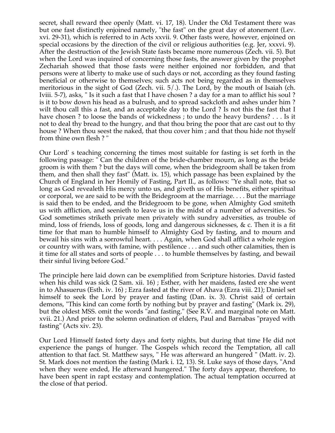secret, shall reward thee openly (Matt. vi. 17, 18). Under the Old Testament there was but one fast distinctly enjoined namely, "the fast" on the great day of atonement (Lev. xvi. 29-31), which is referred to in Acts xxvii. 9. Other fasts were, however, enjoined on special occasions by the direction of the civil or religious authorities (e.g. Jer, xxxvi. 9). After the destruction of the Jewish State fasts became more numerous (Zech. vii. 5). But when the Lord was inquired of concerning those fasts, the answer given by the prophet Zechariah showed that those fasts were neither enjoined nor forbidden, and that persons were at liberty to make use of such days or not, according as they found fasting beneficial or otherwise to themselves; such acts not being regarded as in themselves meritorious in the sight of God (Zech. vii. 5/.). The Lord, by the mouth of Isaiah (ch. Iviii. 5-7), asks, " Is it such a fast that I have chosen ? a day for a man to afflict his soul ? is it to bow down his head as a bulrush, and to spread sackcloth and ashes under him ? wilt thou call this a fast, and an acceptable day to the Lord ? Is not this the fast that I have chosen ? to loose the bands of wickedness ; to undo the heavy burdens? . . . Is it not to deal thy bread to the hungry, and that thou bring the poor that are cast out to thy house ? When thou seest the naked, that thou cover him ; and that thou hide not thyself from thine own flesh ? "

Our Lord' s teaching concerning the times most suitable for fasting is set forth in the following passage: " Can the children of the bride-chamber mourn, as long as the bride groom is with them ? but the days will come, when the bridegroom shall be taken from them, and then shall they fast" (Matt. ix. 15), which passage has been explained by the Church of England in her Homily of Fasting, Part II., as follows: "Ye shall note, that so long as God revealeth His mercy unto us, and giveth us of His benefits, either spiritual or corporal, we are said to be with the Bridegroom at the marriage. . . . But the marriage is said then to be ended, and the Bridegroom to be gone, when Almighty God smiteth us with affliction, and seenieth to leave us in the midst of a number of adversities. So God sometimes striketh private men privately with sundry adversities, as trouble of mind, loss of friends, loss of goods, long and dangerous sicknesses, & c. Then it is a fit time for that man to humble himself to Almighty God by fasting, and to mourn and bewail his sins with a sorrowful heart. . . . Again, when God shall afflict a whole region or country with wars, with famine, with pestilence . . . and such other calamities, then is it time for all states and sorts of people . . . to humble themselves by fasting, and bewail their sinful living before God."

The principle here laid down can be exemplified from Scripture histories. David fasted when his child was sick (2 Sam. xii. 16) ; Esther, with her maidens, fasted ere she went in to Ahasuerus (Esth. iv. 16) ; Ezra fasted at the river of Ahava (Ezra viii. 21); Daniel set himself to seek the Lord by prayer and fasting (Dan. ix. 3). Christ said of certain demons, "This kind can come forth by nothing but by prayer and fasting" (Mark ix. 29), but the oldest MSS. omit the words "and fasting." (See R.V. and marginal note on Matt. xvii. 21.) And prior to the solemn ordination of elders, Paul and Barnabas "prayed with fasting" (Acts xiv. 23).

Our Lord Himself fasted forty days and forty nights, but during that time He did not experience the pangs of hunger. The Gospels which record the Temptation, all call attention to that fact. St. Matthew says, " He was afterward an hungered " (Matt. iv. 2). St. Mark does not mention the fasting (Mark i. 12, 13). St. Luke says of those days, "And when they were ended, He afterward hungered." The forty days appear, therefore, to have been spent in rapt ecstasy and contemplation. The actual temptation occurred at the close of that period.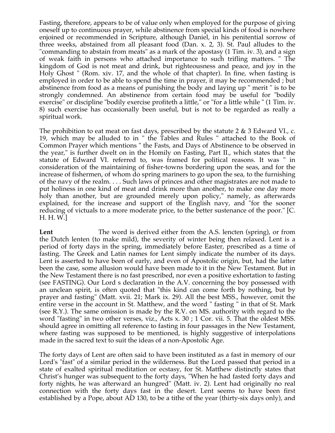Fasting, therefore, appears to be of value only when employed for the purpose of giving oneself up to continuous prayer, while abstinence from special kinds of food is nowhere enjoined or recommended in Scripture, although Daniel, in his penitential sorrow of three weeks, abstained from all pleasant food (Dan. x. 2, 3). St. Paul alludes to the "commanding to abstain from meats" as a mark of the apostasy (1 Tim. iv. 3), and a sign of weak faith in persons who attached importance to such trifling matters. " The kingdom of God is not meat and drink, but righteousness and peace, and joy in the Holy Ghost " (Rom. xiv. 17, and the whole of that chapter). In fine, when fasting is employed in order to be able to spend the time in prayer, it may be recommended ; but abstinence from food as a means of punishing the body and laying up " merit " is to be strongly condemned. An abstinence from certain food may be useful for "bodily exercise" or discipline "bodily exercise profiteth a little," or "for a little while " (1 Tim. iv. 8) such exercise has occasionally been useful, but is not to be regarded as really a spiritual work.

The prohibition to eat meat on fast days, prescribed by the statute 2 & 3 Edward VI., c. 19, which may be alluded to in " the Tables and Rules " attached to the Book of Common Prayer which mentions " the Fasts, and Days of Abstinence to be observed in the year," is further dwelt on in the Homily on Fasting, Part II., which states that the statute of Edward VI. referred to, was framed for political reasons. It was " in consideration of the maintaining of fisher-towns bordering upon the seas, and for the increase of fishermen, of whom do spring mariners to go upon the sea, to the furnishing of the navy of the realm. . . . Such laws of princes and other magistrates are not made to put holiness in one kind of meat and drink more than another, to make one day more holy than another, but are grounded merely upon policy," namely, as afterwards explained, for the increase and support of the English navy, and "for the sooner reducing of victuals to a more moderate price, to the better sustenance of the poor." [C. H. H. W.]

**Lent** The word is derived either from the A.S. lencten (spring), or from the Dutch lenten (to make mild), the severity of winter being then relaxed. Lent is a period of forty days in the spring, immediately before Easter, prescribed as a time of fasting. The Greek and Latin names for Lent simply indicate the number of its days. Lent is asserted to have been of early, and even of Apostolic origin, but, had the latter been the case, some allusion would have been made to it in the New Testament. But in the New Testament there is no fast prescribed, nor even a positive exhortation to fasting (see FASTING). Our Lord s declaration in the A.V. concerning the boy possessed with an unclean spirit, is often quoted that "this kind can come forth by nothing, but by prayer and fasting" (Matt. xvii. 21; Mark ix. 29). All the best MSS., however, omit the entire verse in the account in St. Matthew, and the word " fasting " in that of St. Mark (see R.Y.). The same omission is made by the R.V. on MS. authority with regard to the word "fasting" in two other verses, viz., Acts x. 30 ; 1 Cor. vii. 5. That the oldest MSS. should agree in omitting all reference to fasting in four passages in the New Testament, where fasting was supposed to be mentioned, is highly suggestive of interpolations made in the sacred text to suit the ideas of a non-Apostolic Age.

The forty days of Lent are often said to have been instituted as a fast in memory of our Lord's "fast" of a similar period in the wilderness. But the Lord passed that period in a state of exalted spiritual meditation or ecstasy, for St. Matthew distinctly states that Christ's hunger was subsequent to the forty days, "When he had fasted forty days and forty nights, he was afterward an hungred" (Matt. iv. 2). Lent had originally no real connection with the forty days fast in the desert. Lent seems to have been first established by a Pope, about AD 130, to be a tithe of the year (thirty-six days only), and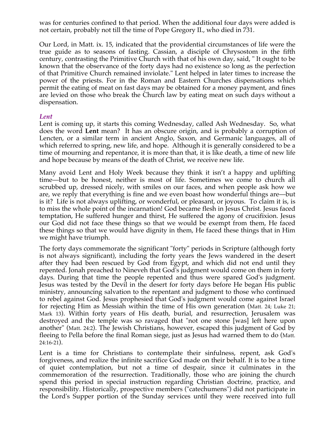was for centuries confined to that period. When the additional four days were added is not certain, probably not till the time of Pope Gregory II., who died in 731.

Our Lord, in Matt. ix. 15, indicated that the providential circumstances of life were the true guide as to seasons of fasting. Cassian, a disciple of Chrysostom in the fifth century, contrasting the Primitive Church with that of his own day, said, " It ought to be known that the observance of the forty days had no existence so long as the perfection of that Primitive Church remained inviolate." Lent helped in later times to increase the power of the priests. For in the Roman and Eastern Churches dispensations which permit the eating of meat on fast days may be obtained for a money payment, and fines are levied on those who break the Church law by eating meat on such days without a dispensation.

## *Lent*

Lent is coming up, it starts this coming Wednesday, called Ash Wednesday. So, what does the word **Lent** mean? It has an obscure origin, and is probably a corruption of Lencten, or a similar term in ancient Anglo, Saxon, and Germanic languages, all of which referred to spring, new life, and hope. Although it is generally considered to be a time of mourning and repentance, it is more than that, it is like death, a time of new life and hope because by means of the death of Christ, we receive new life.

Many avoid Lent and Holy Week because they think it isn't a happy and uplifting time—but to be honest, neither is most of life. Sometimes we come to church all scrubbed up, dressed nicely, with smiles on our faces, and when people ask how we are, we reply that everything is fine and we even boast how wonderful things are—but is it? Life is not always uplifting, or wonderful, or pleasant, or joyous. To claim it is, is to miss the whole point of the incarnation! God became flesh in Jesus Christ. Jesus faced temptation, He suffered hunger and thirst, He suffered the agony of crucifixion. Jesus our God did not face these things so that we would be exempt from them, He faced these things so that we would have dignity in them, He faced these things that in Him we might have triumph.

The forty days commemorate the significant "forty" periods in Scripture (although forty is not always significant), including the forty years the Jews wandered in the desert after they had been rescued by God from Egypt, and which did not end until they repented. Jonah preached to Nineveh that God's judgment would come on them in forty days. During that time the people repented and thus were spared God's judgment. Jesus was tested by the Devil in the desert for forty days before He began His public ministry, announcing salvation to the repentant and judgment to those who continued to rebel against God. Jesus prophesied that God's judgment would come against Israel for rejecting Him as Messiah within the time of His own generation (Matt. 24; Luke 21; Mark 13). Within forty years of His death, burial, and resurrection, Jerusalem was destroyed and the temple was so ravaged that "not one stone [was] left here upon another" (Matt. 24:2). The Jewish Christians, however, escaped this judgment of God by fleeing to Pella before the final Roman siege, just as Jesus had warned them to do (Matt. 24:16-21).

Lent is a time for Christians to contemplate their sinfulness, repent, ask God's forgiveness, and realize the infinite sacrifice God made on their behalf. It is to be a time of quiet contemplation, but not a time of despair, since it culminates in the commemoration of the resurrection. Traditionally, those who are joining the church spend this period in special instruction regarding Christian doctrine, practice, and responsibility. Historically, prospective members ("catechumens") did not participate in the Lord's Supper portion of the Sunday services until they were received into full